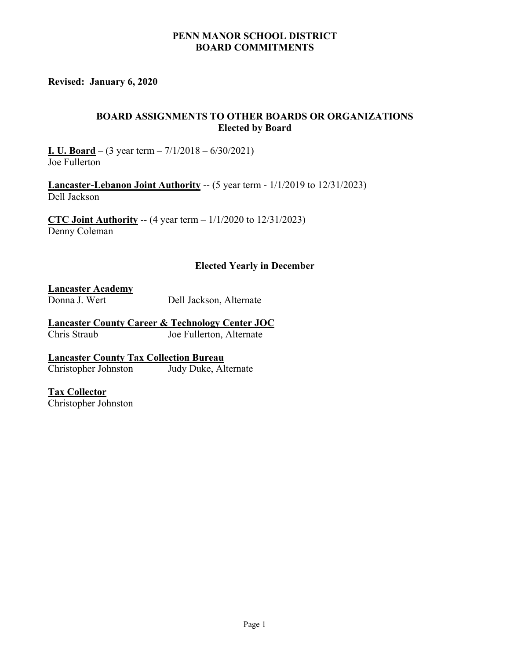## **PENN MANOR SCHOOL DISTRICT BOARD COMMITMENTS**

**Revised: January 6, 2020** 

## **BOARD ASSIGNMENTS TO OTHER BOARDS OR ORGANIZATIONS Elected by Board**

**I. U. Board** – (3 year term – 7/1/2018 – 6/30/2021) Joe Fullerton

**Lancaster-Lebanon Joint Authority** -- (5 year term - 1/1/2019 to 12/31/2023) Dell Jackson

**CTC Joint Authority** -- (4 year term – 1/1/2020 to 12/31/2023) Denny Coleman

## **Elected Yearly in December**

**Lancaster Academy**

Donna J. Wert Dell Jackson, Alternate

**Lancaster County Career & Technology Center JOC** Joe Fullerton, Alternate

**Lancaster County Tax Collection Bureau**  Christopher Johnston Judy Duke, Alternate

**Tax Collector** Christopher Johnston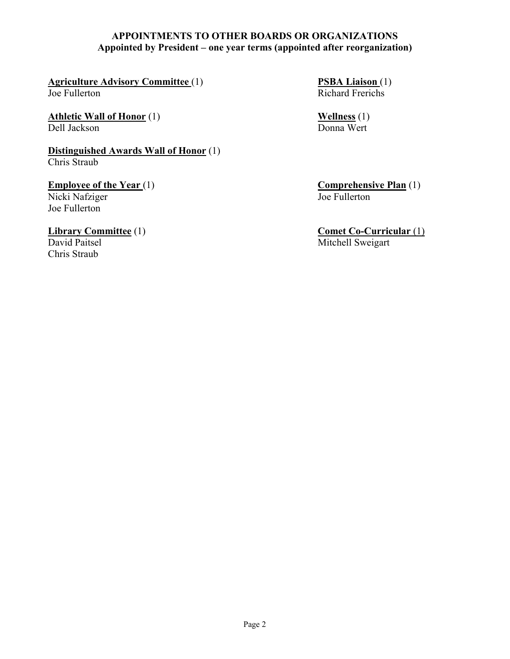## **APPOINTMENTS TO OTHER BOARDS OR ORGANIZATIONS Appointed by President – one year terms (appointed after reorganization)**

**Agriculture Advisory Committee** (1) **PSBA Liaison** (1) Joe Fullerton Richard Frerichs

**Athletic Wall of Honor** (1) **Wellness** (1) **Wellness** (1) **Wellness** (1) **Wellness** (1) Dell Jackson

**Distinguished Awards Wall of Honor** (1) Chris Straub

**Employee of the Year** (1) **Comprehensive Plan** (1) **Comprehensive Plan** (1) **Comprehensive Plan** (1) Nicki Nafziger Joe Fullerton

Chris Straub

**Library Committee** (1) **Comet Co-Curricular** (1) David Paitsel Mitchell Sweigart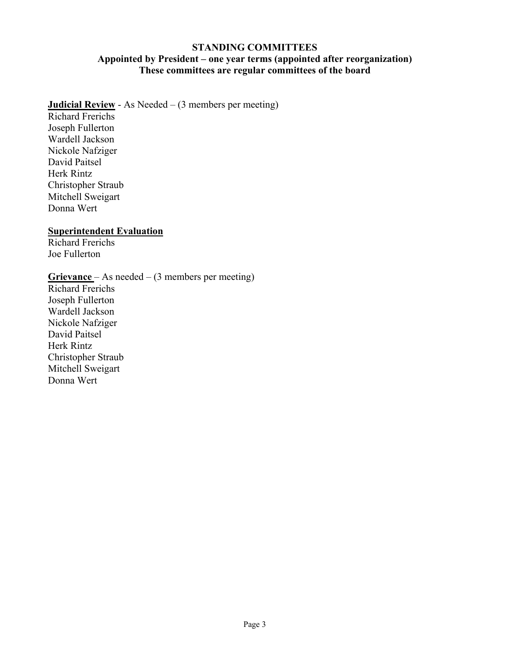### **STANDING COMMITTEES Appointed by President – one year terms (appointed after reorganization) These committees are regular committees of the board**

# **Judicial Review** - As Needed – (3 members per meeting)

Richard Frerichs Joseph Fullerton Wardell Jackson Nickole Nafziger David Paitsel Herk Rintz Christopher Straub Mitchell Sweigart Donna Wert

# **Superintendent Evaluation**

Richard Frerichs Joe Fullerton

# **Grievance** – As needed – (3 members per meeting)

Richard Frerichs Joseph Fullerton Wardell Jackson Nickole Nafziger David Paitsel Herk Rintz Christopher Straub Mitchell Sweigart Donna Wert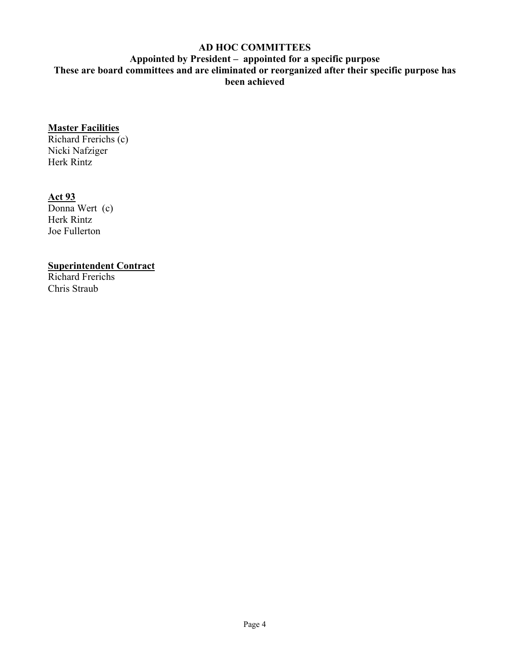# **AD HOC COMMITTEES**

**Appointed by President – appointed for a specific purpose These are board committees and are eliminated or reorganized after their specific purpose has been achieved** 

# **Master Facilities**

Richard Frerichs (c) Nicki Nafziger Herk Rintz

#### **Act 93**

Donna Wert (c) Herk Rintz Joe Fullerton

# **Superintendent Contract**

Richard Frerichs Chris Straub